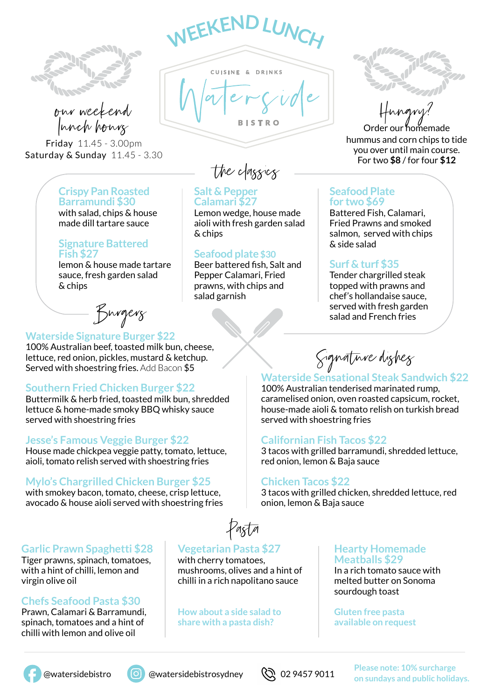



Friday 11.45 - 3.00pm Saturday & Sunday 11.45 - 3.30

# **Crispy Pan Roasted Barramundi \$30**

with salad, chips & house made dill tartare sauce

#### **Signature Battered Fish \$27**

lemon & house made tartare sauce, fresh garden salad & chips

Burgers

## **Waterside Signature Burger \$22**

100% Australian beef, toasted milk bun, cheese, lettuce, red onion, pickles, mustard & ketchup. Served with shoestring fries. Add Bacon \$5

# **Southern Fried Chicken Burger \$22**

Buttermilk & herb fried, toasted milk bun, shredded lettuce & home-made smoky BBQ whisky sauce served with shoestring fries

# **Jesse's Famous Veggie Burger \$22**

House made chickpea veggie patty, tomato, lettuce, aioli, tomato relish served with shoestring fries

# **Mylo's Chargrilled Chicken Burger \$25**

with smokey bacon, tomato, cheese, crisp lettuce, avocado & house aioli served with shoestring fries

# **Garlic Prawn Spaghetti \$28**

Tiger prawns, spinach, tomatoes, with a hint of chilli, lemon and virgin olive oil

# **Chefs Seafood Pasta \$30**

Prawn, Calamari & Barramundi, spinach, tomatoes and a hint of chilli with lemon and olive oil

Pasta

# **Vegetarian Pasta \$27**

**Salt & Pepper Calamari \$27**

**WEEKENDLUNG** 

CUISINE & DRINKS

& chips

Lemon wedge, house made aioli with fresh garden salad

Beer battered fish, Salt and Pepper Calamari, Fried prawns, with chips and

**Seafood plate \$30**

salad garnish

with cherry tomatoes, mushrooms, olives and a hint of chilli in a rich napolitano sauce

**How about a side salad to share with a pasta dish?**

Order our homemade hummus and corn chips to tide you over until main course. For two \$8 / for four \$12

## **Seafood Plate for two \$69**

Battered Fish, Calamari, Fried Prawns and smoked salmon, served with chips & side salad

# **Surf & turf \$35**

Tender chargrilled steak topped with prawns and chef's hollandaise sauce, served with fresh garden salad and French fries

Signature dishes

# **Waterside Sensational Steak Sandwich \$22**

100% Australian tenderised marinated rump, caramelised onion, oven roasted capsicum, rocket, house-made aioli & tomato relish on turkish bread served with shoestring fries

# **Californian Fish Tacos \$22**

3 tacos with grilled barramundi, shredded lettuce, red onion, lemon & Baja sauce

## **Chicken Tacos \$22**

3 tacos with grilled chicken, shredded lettuce, red onion, lemon & Baja sauce

#### **Hearty Homemade Meatballs \$29**

In a rich tomato sauce with melted butter on Sonoma sourdough toast

**Gluten free pasta available on request**



 @watersidebistro @watersidebistrosydney **Please note: 10% surcharge**  on sundays and public holidays.